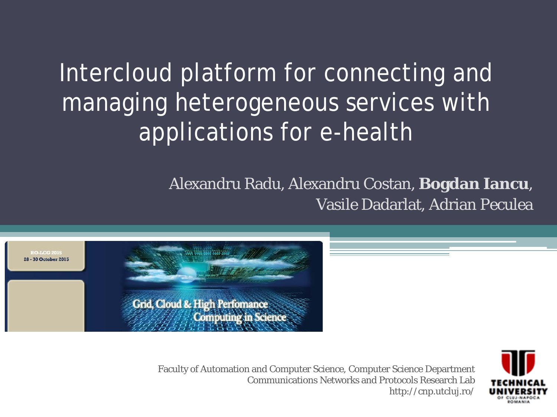### Intercloud platform for connecting and managing heterogeneous services with applications for e-health

#### Alexandru Radu, Alexandru Costan, **Bogdan Iancu**, Vasile Dadarlat, Adrian Peculea



Faculty of Automation and Computer Science, Computer Science Department Communications Networks and Protocols Research Lab http://cnp.utcluj.ro/

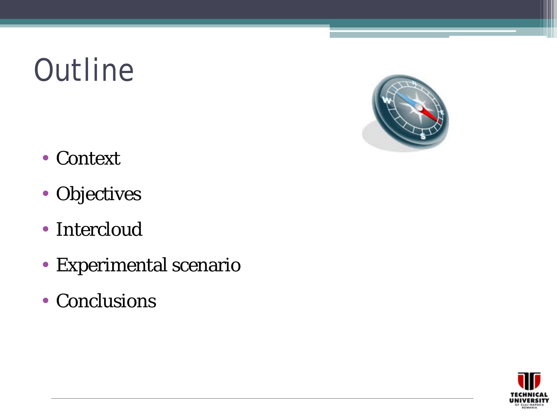## **Outline**



- Context
- Objectives
- Intercloud
- Experimental scenario
- Conclusions

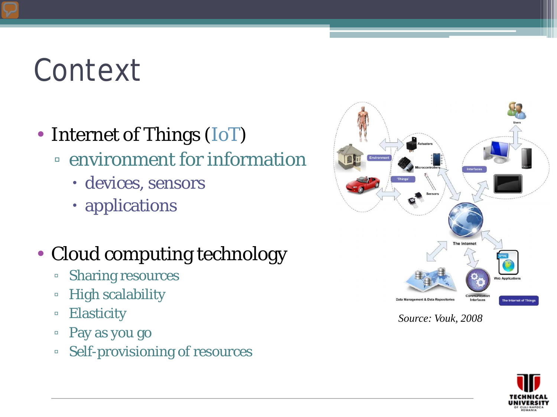### Context

- Internet of Things (IoT)
	- environment for information
		- devices, sensors
		- applications

#### • Cloud computing technology

- Sharing resources
- High scalability
- Elasticity
- Pay as you go
- Self-provisioning of resources



*Source: Vouk, 2008*

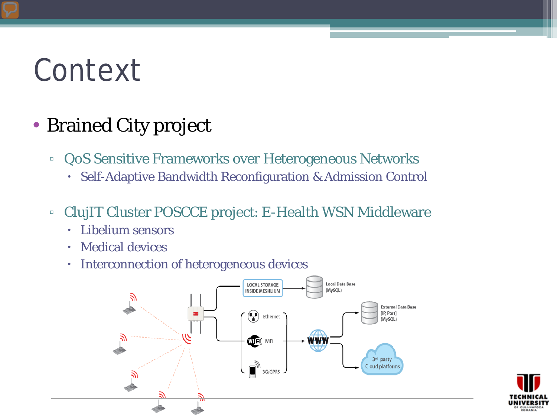### Context

#### • Brained City project

- QoS Sensitive Frameworks over Heterogeneous Networks
	- Self-Adaptive Bandwidth Reconfiguration & Admission Control
- ClujIT Cluster POSCCE project: E-Health WSN Middleware
	- Libelium sensors
	- Medical devices
	- **·** Interconnection of heterogeneous devices



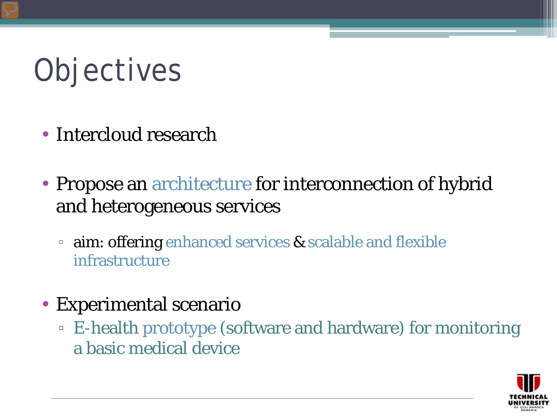# **Objectives**

- Intercloud research
- Propose an architecture for interconnection of hybrid and heterogeneous services
	- aim: offering enhanced services & scalable and flexible infrastructure
- Experimental scenario
	- E-health prototype (software and hardware) for monitoring a basic medical device

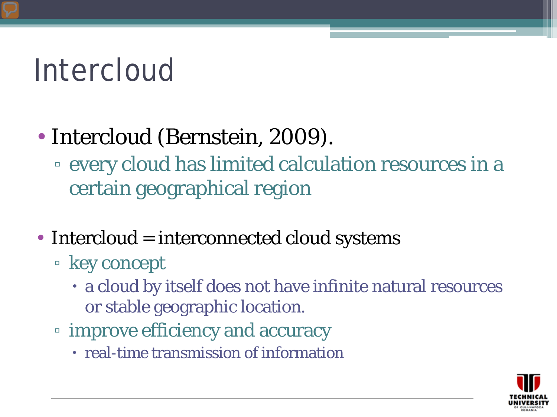### Intercloud

### • Intercloud (Bernstein, 2009).

- every cloud has limited calculation resources in a certain geographical region
- Intercloud  $=$  interconnected cloud systems
	- key concept
		- a cloud by itself does not have infinite natural resources or stable geographic location.
	- improve efficiency and accuracy
		- real-time transmission of information

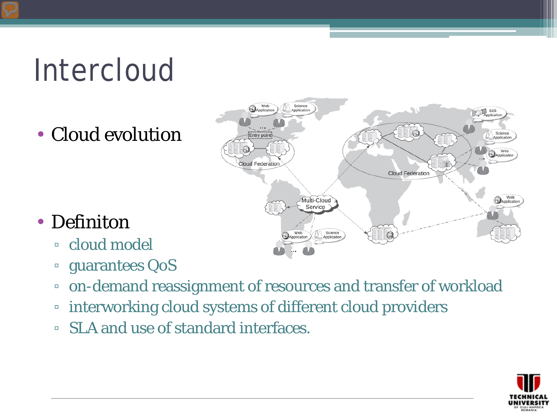## Intercloud

• Cloud evolution



#### • Definiton

- cloud model
- guarantees QoS
- on-demand reassignment of resources and transfer of workload
- interworking cloud systems of different cloud providers
- SLA and use of standard interfaces.

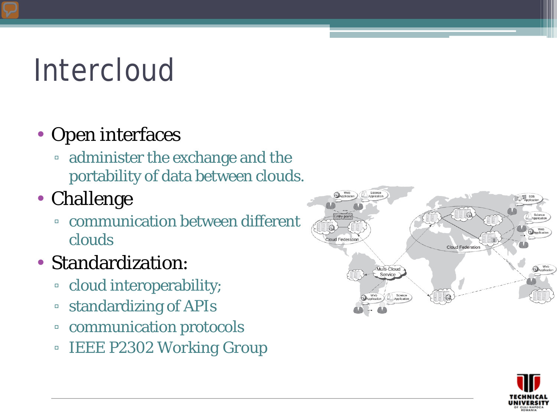## Intercloud

### • Open interfaces

- administer the exchange and the portability of data between clouds.
- Challenge
	- communication between different clouds
- Standardization:
	- cloud interoperability;
	- standardizing of APIs
	- communication protocols
	- *IEEE P2302 Working Group*



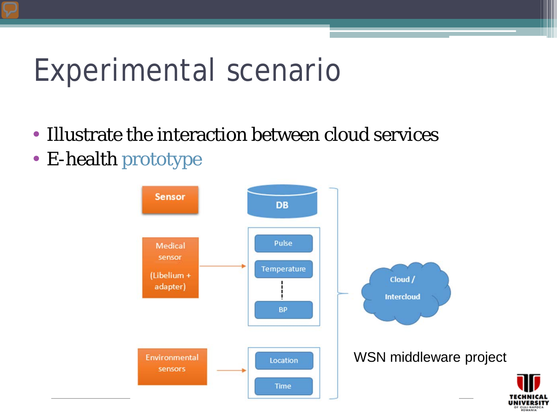### Experimental scenario

- Illustrate the interaction between cloud services
- E-health prototype



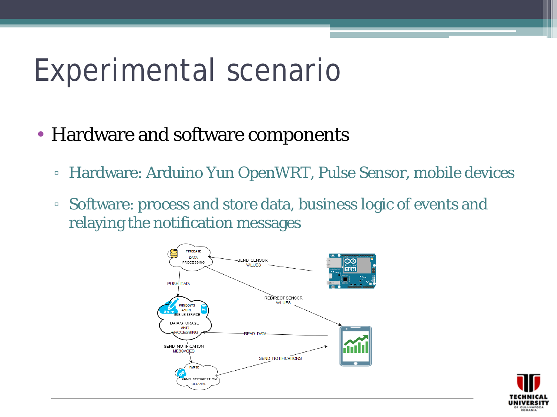### Experimental scenario

- Hardware and software components
	- Hardware: Arduino Yun OpenWRT, Pulse Sensor, mobile devices
	- Software: process and store data, business logic of events and relaying the notification messages



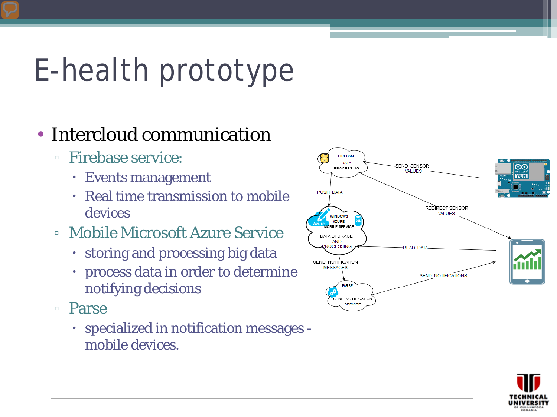## E-health prototype

#### • Intercloud communication

- Firebase service:
	- Events management
	- Real time transmission to mobile devices
- Mobile Microsoft Azure Service
	- storing and processing big data
	- process data in order to determine notifying decisions
- Parse
	- specialized in notification messages mobile devices.



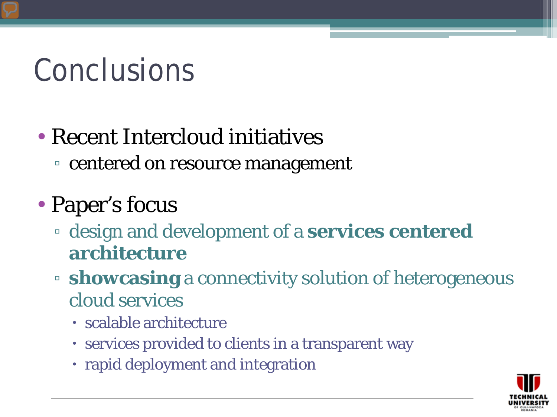## Conclusions

### • Recent Intercloud initiatives

▫ centered on resource management

### • Paper's focus

- design and development of a **services centered architecture**
- **showcasing** a connectivity solution of heterogeneous cloud services
	- scalable architecture
	- services provided to clients in a transparent way
	- rapid deployment and integration

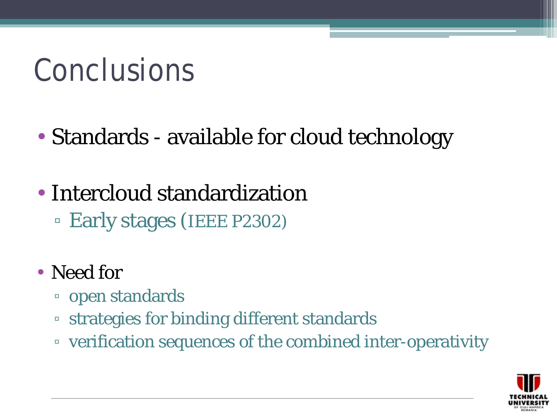### Conclusions

- Standards available for cloud technology
- Intercloud standardization ▫ Early stages (IEEE P2302)
- Need for
	- open standards
	- strategies for binding different standards
	- verification sequences of the combined inter-operativity